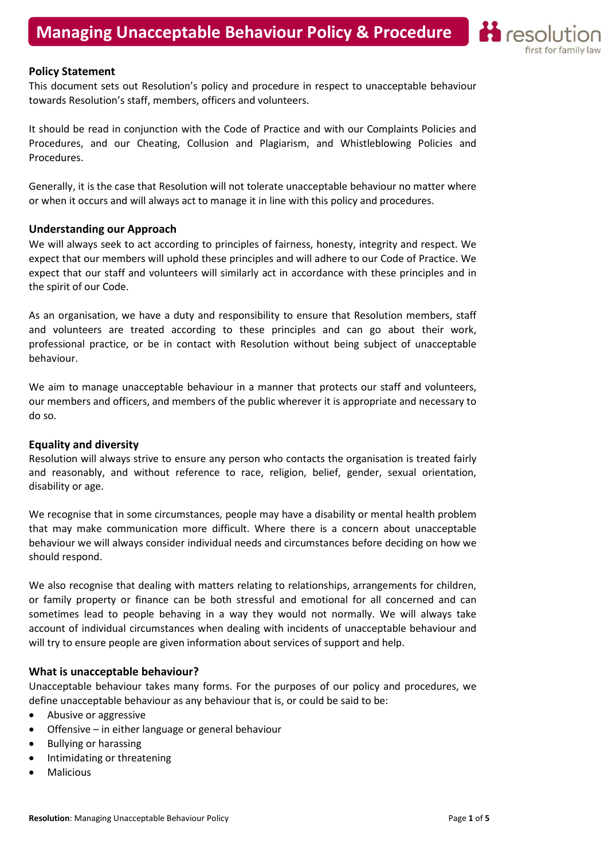

#### Policy Statement

This document sets out Resolution's policy and procedure in respect to unacceptable behaviour towards Resolution's staff, members, officers and volunteers.

It should be read in conjunction with the Code of Practice and with our Complaints Policies and Procedures, and our Cheating, Collusion and Plagiarism, and Whistleblowing Policies and Procedures.

Generally, it is the case that Resolution will not tolerate unacceptable behaviour no matter where or when it occurs and will always act to manage it in line with this policy and procedures.

#### Understanding our Approach

We will always seek to act according to principles of fairness, honesty, integrity and respect. We expect that our members will uphold these principles and will adhere to our Code of Practice. We expect that our staff and volunteers will similarly act in accordance with these principles and in the spirit of our Code.

As an organisation, we have a duty and responsibility to ensure that Resolution members, staff and volunteers are treated according to these principles and can go about their work, professional practice, or be in contact with Resolution without being subject of unacceptable behaviour.

We aim to manage unacceptable behaviour in a manner that protects our staff and volunteers, our members and officers, and members of the public wherever it is appropriate and necessary to do so.

#### Equality and diversity

Resolution will always strive to ensure any person who contacts the organisation is treated fairly and reasonably, and without reference to race, religion, belief, gender, sexual orientation, disability or age.

We recognise that in some circumstances, people may have a disability or mental health problem that may make communication more difficult. Where there is a concern about unacceptable behaviour we will always consider individual needs and circumstances before deciding on how we should respond.

We also recognise that dealing with matters relating to relationships, arrangements for children, or family property or finance can be both stressful and emotional for all concerned and can sometimes lead to people behaving in a way they would not normally. We will always take account of individual circumstances when dealing with incidents of unacceptable behaviour and will try to ensure people are given information about services of support and help.

### What is unacceptable behaviour?

Unacceptable behaviour takes many forms. For the purposes of our policy and procedures, we define unacceptable behaviour as any behaviour that is, or could be said to be:

- Abusive or aggressive
- Offensive in either language or general behaviour
- Bullying or harassing
- Intimidating or threatening
- Malicious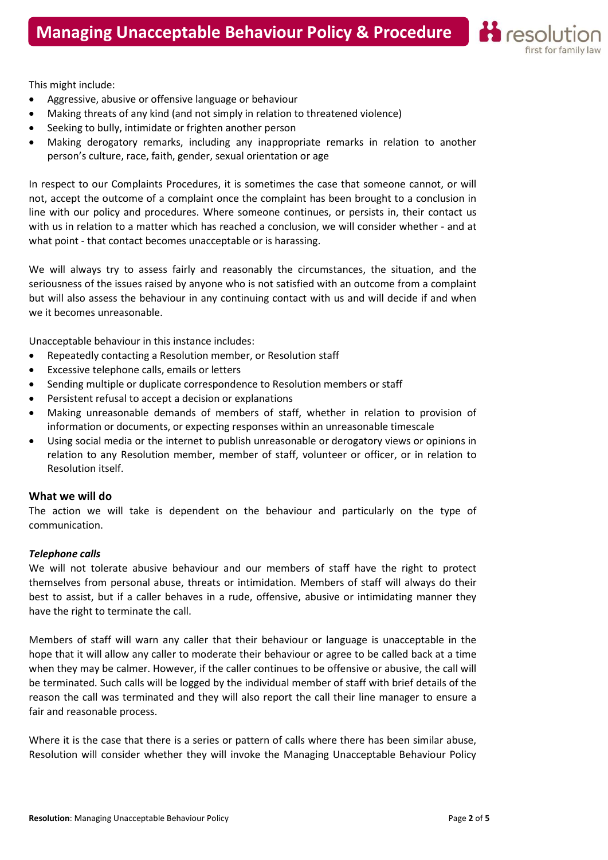

This might include:

- Aggressive, abusive or offensive language or behaviour
- Making threats of any kind (and not simply in relation to threatened violence)
- Seeking to bully, intimidate or frighten another person
- Making derogatory remarks, including any inappropriate remarks in relation to another person's culture, race, faith, gender, sexual orientation or age

In respect to our Complaints Procedures, it is sometimes the case that someone cannot, or will not, accept the outcome of a complaint once the complaint has been brought to a conclusion in line with our policy and procedures. Where someone continues, or persists in, their contact us with us in relation to a matter which has reached a conclusion, we will consider whether - and at what point - that contact becomes unacceptable or is harassing.

We will always try to assess fairly and reasonably the circumstances, the situation, and the seriousness of the issues raised by anyone who is not satisfied with an outcome from a complaint but will also assess the behaviour in any continuing contact with us and will decide if and when we it becomes unreasonable.

Unacceptable behaviour in this instance includes:

- Repeatedly contacting a Resolution member, or Resolution staff
- Excessive telephone calls, emails or letters
- Sending multiple or duplicate correspondence to Resolution members or staff
- Persistent refusal to accept a decision or explanations
- Making unreasonable demands of members of staff, whether in relation to provision of information or documents, or expecting responses within an unreasonable timescale
- Using social media or the internet to publish unreasonable or derogatory views or opinions in relation to any Resolution member, member of staff, volunteer or officer, or in relation to Resolution itself.

# What we will do

The action we will take is dependent on the behaviour and particularly on the type of communication.

# Telephone calls

We will not tolerate abusive behaviour and our members of staff have the right to protect themselves from personal abuse, threats or intimidation. Members of staff will always do their best to assist, but if a caller behaves in a rude, offensive, abusive or intimidating manner they have the right to terminate the call.

Members of staff will warn any caller that their behaviour or language is unacceptable in the hope that it will allow any caller to moderate their behaviour or agree to be called back at a time when they may be calmer. However, if the caller continues to be offensive or abusive, the call will be terminated. Such calls will be logged by the individual member of staff with brief details of the reason the call was terminated and they will also report the call their line manager to ensure a fair and reasonable process.

Where it is the case that there is a series or pattern of calls where there has been similar abuse, Resolution will consider whether they will invoke the Managing Unacceptable Behaviour Policy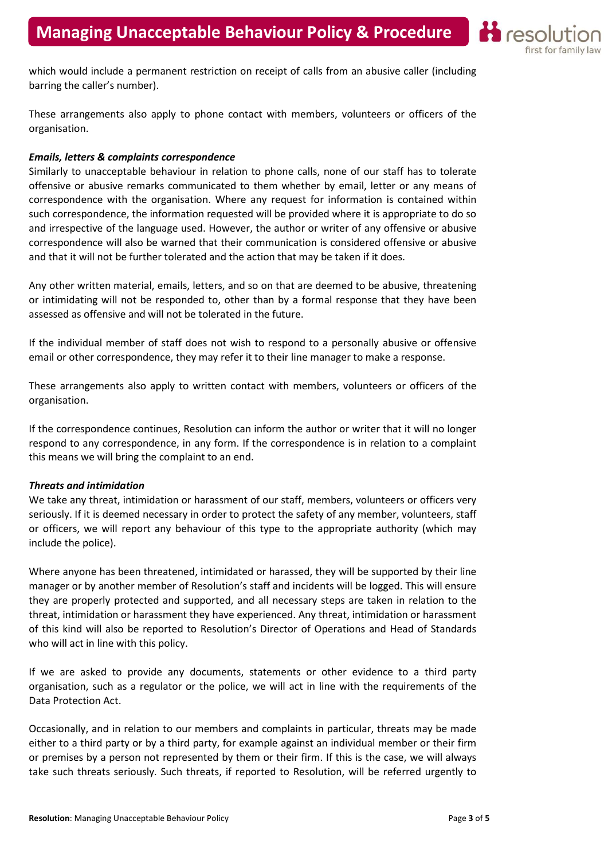

which would include a permanent restriction on receipt of calls from an abusive caller (including barring the caller's number).

These arrangements also apply to phone contact with members, volunteers or officers of the organisation.

# Emails, letters & complaints correspondence

Similarly to unacceptable behaviour in relation to phone calls, none of our staff has to tolerate offensive or abusive remarks communicated to them whether by email, letter or any means of correspondence with the organisation. Where any request for information is contained within such correspondence, the information requested will be provided where it is appropriate to do so and irrespective of the language used. However, the author or writer of any offensive or abusive correspondence will also be warned that their communication is considered offensive or abusive and that it will not be further tolerated and the action that may be taken if it does.

Any other written material, emails, letters, and so on that are deemed to be abusive, threatening or intimidating will not be responded to, other than by a formal response that they have been assessed as offensive and will not be tolerated in the future.

If the individual member of staff does not wish to respond to a personally abusive or offensive email or other correspondence, they may refer it to their line manager to make a response.

These arrangements also apply to written contact with members, volunteers or officers of the organisation.

If the correspondence continues, Resolution can inform the author or writer that it will no longer respond to any correspondence, in any form. If the correspondence is in relation to a complaint this means we will bring the complaint to an end.

### Threats and intimidation

We take any threat, intimidation or harassment of our staff, members, volunteers or officers very seriously. If it is deemed necessary in order to protect the safety of any member, volunteers, staff or officers, we will report any behaviour of this type to the appropriate authority (which may include the police).

Where anyone has been threatened, intimidated or harassed, they will be supported by their line manager or by another member of Resolution's staff and incidents will be logged. This will ensure they are properly protected and supported, and all necessary steps are taken in relation to the threat, intimidation or harassment they have experienced. Any threat, intimidation or harassment of this kind will also be reported to Resolution's Director of Operations and Head of Standards who will act in line with this policy.

If we are asked to provide any documents, statements or other evidence to a third party organisation, such as a regulator or the police, we will act in line with the requirements of the Data Protection Act.

Occasionally, and in relation to our members and complaints in particular, threats may be made either to a third party or by a third party, for example against an individual member or their firm or premises by a person not represented by them or their firm. If this is the case, we will always take such threats seriously. Such threats, if reported to Resolution, will be referred urgently to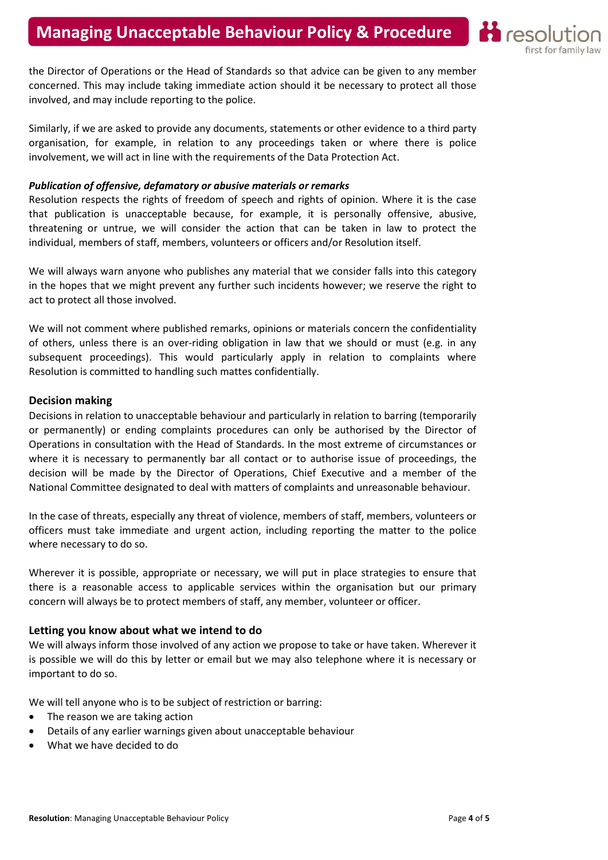

the Director of Operations or the Head of Standards so that advice can be given to any member concerned. This may include taking immediate action should it be necessary to protect all those involved, and may include reporting to the police.

Similarly, if we are asked to provide any documents, statements or other evidence to a third party organisation, for example, in relation to any proceedings taken or where there is police involvement, we will act in line with the requirements of the Data Protection Act.

### Publication of offensive, defamatory or abusive materials or remarks

Resolution respects the rights of freedom of speech and rights of opinion. Where it is the case that publication is unacceptable because, for example, it is personally offensive, abusive, threatening or untrue, we will consider the action that can be taken in law to protect the individual, members of staff, members, volunteers or officers and/or Resolution itself.

We will always warn anyone who publishes any material that we consider falls into this category in the hopes that we might prevent any further such incidents however; we reserve the right to act to protect all those involved.

We will not comment where published remarks, opinions or materials concern the confidentiality of others, unless there is an over-riding obligation in law that we should or must (e.g. in any subsequent proceedings). This would particularly apply in relation to complaints where Resolution is committed to handling such mattes confidentially.

# Decision making

Decisions in relation to unacceptable behaviour and particularly in relation to barring (temporarily or permanently) or ending complaints procedures can only be authorised by the Director of Operations in consultation with the Head of Standards. In the most extreme of circumstances or where it is necessary to permanently bar all contact or to authorise issue of proceedings, the decision will be made by the Director of Operations, Chief Executive and a member of the National Committee designated to deal with matters of complaints and unreasonable behaviour.

In the case of threats, especially any threat of violence, members of staff, members, volunteers or officers must take immediate and urgent action, including reporting the matter to the police where necessary to do so.

Wherever it is possible, appropriate or necessary, we will put in place strategies to ensure that there is a reasonable access to applicable services within the organisation but our primary concern will always be to protect members of staff, any member, volunteer or officer.

# Letting you know about what we intend to do

We will always inform those involved of any action we propose to take or have taken. Wherever it is possible we will do this by letter or email but we may also telephone where it is necessary or important to do so.

We will tell anyone who is to be subject of restriction or barring:

- The reason we are taking action
- Details of any earlier warnings given about unacceptable behaviour
- What we have decided to do